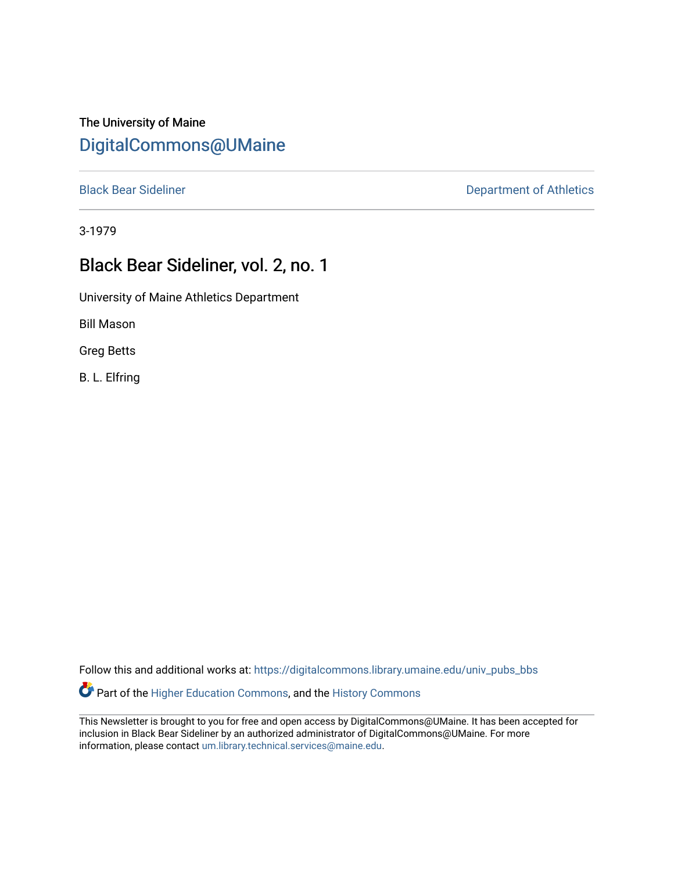# The University of Maine [DigitalCommons@UMaine](https://digitalcommons.library.umaine.edu/)

[Black Bear Sideliner](https://digitalcommons.library.umaine.edu/univ_pubs_bbs) **Department of Athletics** 

3-1979

# Black Bear Sideliner, vol. 2, no. 1

University of Maine Athletics Department

Bill Mason

Greg Betts

B. L. Elfring

Follow this and additional works at: [https://digitalcommons.library.umaine.edu/univ\\_pubs\\_bbs](https://digitalcommons.library.umaine.edu/univ_pubs_bbs?utm_source=digitalcommons.library.umaine.edu%2Funiv_pubs_bbs%2F4&utm_medium=PDF&utm_campaign=PDFCoverPages)

Part of the [Higher Education Commons,](http://network.bepress.com/hgg/discipline/1245?utm_source=digitalcommons.library.umaine.edu%2Funiv_pubs_bbs%2F4&utm_medium=PDF&utm_campaign=PDFCoverPages) and the [History Commons](http://network.bepress.com/hgg/discipline/489?utm_source=digitalcommons.library.umaine.edu%2Funiv_pubs_bbs%2F4&utm_medium=PDF&utm_campaign=PDFCoverPages)

This Newsletter is brought to you for free and open access by DigitalCommons@UMaine. It has been accepted for inclusion in Black Bear Sideliner by an authorized administrator of DigitalCommons@UMaine. For more information, please contact [um.library.technical.services@maine.edu](mailto:um.library.technical.services@maine.edu).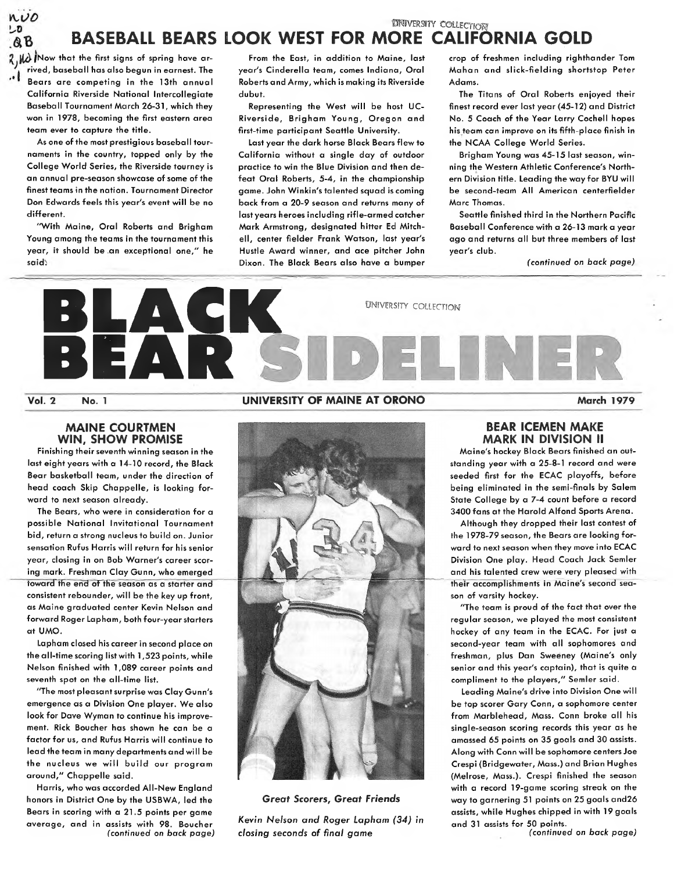#### UNIVERSITY COLLECTION **BASEBALL BEARS LOOK WEST FOR MORE CALIFORNIA GOLD**

 $2.10$  Mow that the first signs of spring have arrived, baseball has also begun in earnest. The Bears are competing in the 13th annual California Riverside National Intercollegiate Baseball Tournament March 26-31, which they won in 1978, becoming the first eastern area team ever to capture the title.

nuo しむ  $B$ 

> As one of the most prestigious baseball tournaments in the country, topped only by the College World Series, the Riverside tourney is an annual pre-season showcase of some of the finest teams in the nation. Tournament Director Don Edwards feels this year's event will be no different.

> "With Maine, Oral Roberts and Brigham Young among the teams in the tournament this year, it should be an exceptional one," he said.

From the East, in addition to Maine, last year's Cinderella team, comes Indiana, Oral Roberts and Army, which is making its Riverside dubut.

Representing the West will be host UC-Riverside, Brigham Young, Oregon and first-time participant Seattle University.

Last year the dark horse Black Bears flew to California without a single day of outdoor practice to win the Blue Division and then defeat Oral Roberts, 5-4, in the championship game. John Winkin's talented squad is coming back from a 20-9 season and returns many of last years heroes including rifle-armed catcher Mark Armstrong, designated hitter Ed Mitchell, center fielder Frank Watson, last year's Hustle Award winner, and ace pitcher John Dixon. The Black Bears also have a bumper

crop of freshmen including righthander Tom Mahan and slick-fielding shortstop Peter Adams.

The Titans of Oral Roberts enjoyed their finest record ever last year (45-12) and District No. 5 Coach of the Year Larry Cochell hopes his team can improve on its fifth-place finish in the NCAA College World Series.

Brigham Young was 45-15 last season, winning the Western Athletic Conference's Northern Division title. Leading the way for BYU will be second-team All American centerfielder Marc Thomas.

Seattle finished third in the Northern Pacific Baseball Conference with a 26-13 mark a year ago and returns all but three members of last year's club.

*(continued on back page)*



#### MAINE COURTMEN WIN, SHOW PROMISE

Finishing their seventh winning season in the last eight years with a 14-10 record, the Black Bear basketball team, under the direction of head coach Skip Chappelle, is looking forward to next season already.

The Bears, who were in consideration for a possible National Invitational Tournament bid, return a strong nucleus to build on. Junior sensation Rufus Harris will return for his senior year, closing in on Bob Warner's career scoring mark. Freshman Clay Gunn, who emerged toward the end of the season as a starter and consistent rebounder, will be the key up front, as Maine graduated center Kevin Nelson and forward Roger Lapham, both four-year starters at UMO.

Lapham closed his career in second place on the all-time scoring list with 1,523 points, while Nelson finished with 1,089 career points and seventh spot on the all-time list.

"The most pleasant surprise was Clay Gunn's emergence as a Division One player. We also look for Dave Wyman to continue his improvement. Rick Boucher has shown he can be a factor for us, and Rufus Harris will continue to lead the team in many departments and will be the nucleus we will build our program around," Chappelle said.

Harris, who was accorded All-New England honors in District One by the USBWA, led the Bears in scoring with  $\alpha$  21.5 points per game average, and in assists with 98. Boucher (continued on *back page)*

Vol. 2 No. <sup>1</sup> **UNIVERSITY OF MAINE AT ORONO** March **1979**



#### *Great* Scorers, Great *Friends*

*Kevin Nelson and Roger Lapham (34) in closing seconds of final game*

#### BEAR ICEMEN MAKE MARK IN DIVISION I<sup>I</sup>

Maine's hockey Black Bears finished an outstanding year with a 25-8-1 record and were seeded first for the ECAC playoffs, before being eliminated in the semi-finals by Salem State College by a 7-4 count before a record 3400 fans at the Harold Alfond Sports Arena.

Although they dropped their last contest of the 1978-79 season, the Bears are looking forward to next season when they move into ECAC Division One play. Head Coach Jack Semler and his talented crew were very pleased with their accomplishments in Maine's second season of varsity hockey.

"The team is proud of the fact that over the regular season, we played the most consistent hockey of any team in the ECAC. For just a second-year team with all sophomores and freshman, plus Dan Sweeney (Maine's only senior and this year's captain), that is quite a compliment to the players," Semler said.

Leading Maine's drive into Division One will be top scorer Gary Conn, a sophomore center from Marblehead, Mass. Conn broke all his single-season scoring records this year as he amassed 65 points on 35 goals and 30 assists. Along with Conn will be sophomore centers Joe Crespi (Bridgewater, Mass.) and Brian Hughes (Melrose, Mass.). Crespi finished the season with a record 19-game scoring streak on the way to garnering 51 points on 25 goals and26 assists, while Hughes chipped in with 19 goals and 31 assists for 50 points.

(continued on back *page)*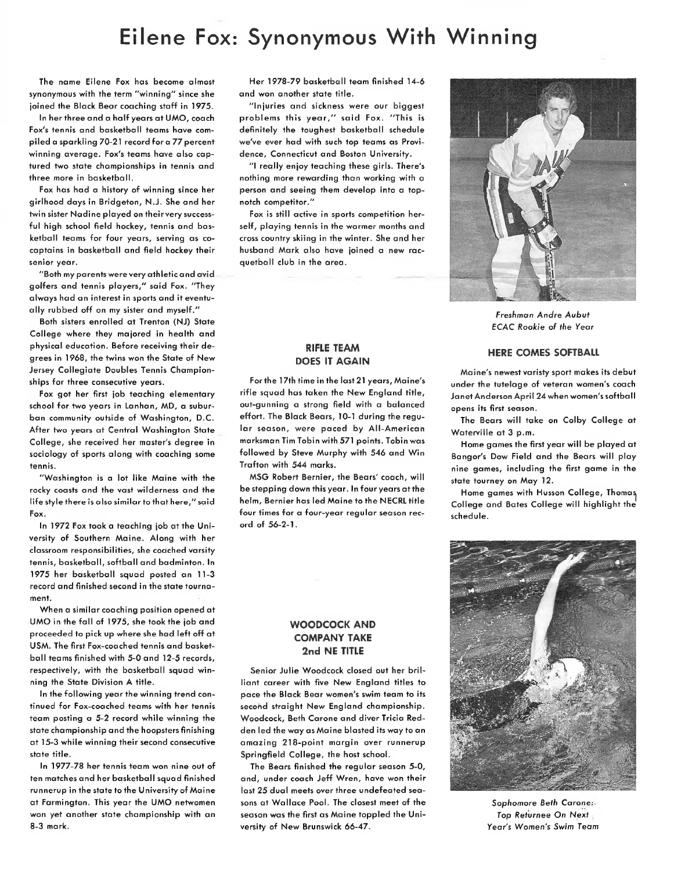# Eilene Fox: Synonymous With Winning

The name Eilene Fox has become almost synonymous with the term "winning" since she joined the Black Bear coaching staff in 1975.

In her three and a half years at UMO, coach Fox's tennis and basketball teams have compiled a sparkling 70-2<sup>1</sup> record for a 77 percent winning average. Fox's teams have also captured two state championships in tennis and three more in basketball.

Fox has had a history of winning since her girlhood days in Bridgeton, N.J. She and her twin sister Nadine played on theirvery successful high school field hockey, tennis and basketball teams for four years, serving as cocaptains in basketball and field hockey their senior year.

"Both my parents were very athleticand avid golfers and tennis players," said Fox. "They always had an interest in sports and it eventually rubbed off on my sister and myself."

Both sisters enrolled at Trenton (NJ) State College where they majored in health and physical education. Before receiving their degrees in 1968, the twins won the State of New Jersey Collegiate Doubles Tennis Championships for three consecutive years.

Fox got her first job teaching elementary school for two years in Lanhan, MD, a suburban community outside of Washington, D.C. After two years at Central Washington State College, she received her master's degree in sociology of sports along with coaching some tennis.

"Washington is a lot like Maine with the rocky coasts and the vast wilderness and the life style there is also similar to that here," said Fox.

In 1972 Fox took a teaching job at the University of Southern Maine. Along with her classroom responsibilities, she coached varsity tennis, basketball, softball and badminton. In 1975 her basketball squad posted an 11-3 record and finished second in the state tournament.

When a similar coaching position opened at UMO in the fall of 1975, she took the job and proceeded to pick up where she had left off at USM. The first Fox-coached tennis and basketball teams finished with 5-0 and 12-5 records, respectively, with the basketball squad winning the State Division A title.

In the following year the winning trend continued for Fox-coached teams with her tennis team posting a 5-2 record while winning the state championship and the hoopsters finishing at 15-3 while winning their second consecutive state title.

In 1977-78 her tennis team won nine out of ten matches and her basketball squad finished runnerup in the state to the University of Maine at Farmington. This year the UMO netwomen won yet another state championship with an 8-3 mark.

Her 1978-79 basketball team finished 14-6 and won another state title.

"Injuries and sickness were our biggest problems this year," said Fox. "This is definitely the toughest basketball schedule we've ever had with such top teams as Providence, Connecticut and Boston University.

"I really enjoy teaching these girls. There's nothing more rewarding than working with a person and seeing them develop into a topnotch competitor."

Fox is still active in sports competition herself, playing tennis in the warmer months and cross country skiing in the winter. She and her husband Mark also have joined a new racquetball club in the area.

#### **RIFLE TEAM DOES IT AGAIN**

For the 17th time in the Iast21 years, Maine's rifle squad has taken the New England title, out-gunning a strong field with a balanced effort. The Black Bears, 10-1 during the regular season, were paced by All-American marksman Tim Tobin with 571 points. Tobin was followed by Steve Murphy with 546 and Win Trafton with 544 marks.

MSG Robert Bernier, the Bears' coach, will be stepping down this year. In four years at the helm, Bernier has led Maine to the NECRL title four times for a four-year regular season record of 56-2-1.



Freshman *Andre Aubut ECAC Rookie of the Year*

#### **HERE COMES SOFTBALL**

Maine's newest varisty sport makes its debut under the tutelage of veteran women's coach Janet Anderson April 24 when women's softball opens its first season.

The Bears will take on Colby College at Waterville at 3 p.m.

Home games the first year will be played at Bangor's Dow Field and the Bears will play nine games, including the first game in the state tourney on May 12.

Home games with Husson College, Thoma^ College and Bates College will highlight the schedule.



Sophomore Beth Carone: Top Returnee On *Next Year's Women's Swim Team*

#### **WOODCOCK AND COMPANY TAKE** 2nd **NE TITLE**

Senior Julie Woodcock closed out her brilliant career with five New England titles to pace the Black Bear women's swim team to its second straight New England championship. Woodcock, Beth Carone and diver Tricia Redden led the way as Maine blasted its way to an amazing 218-point margin over runnerup Springfield College, the host school.

The Bears finished the regular season 5-0, and, under coach Jeff Wren, have won their last 25 dual meets over three undefeated seasons at Wallace Pool. The closest meet of the season was the first as Maine toppled the University of New Brunswick 66-47.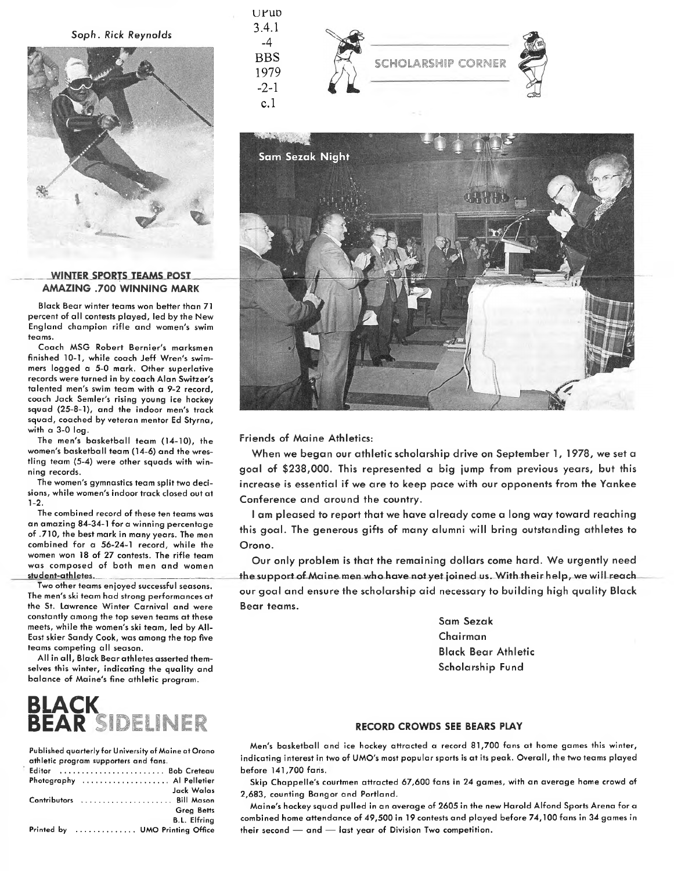*Soph. Rick Reynolds* 3.4.1



#### **\_\_\_\_\_\_ WINTER SPORTS TEAMS POST AMAZING .700 WINNING MARK**

Black Bear winter teams won better than 71 percent of all contests played, led by the New England champion rifle and women's swim tea ms.

Coach MSG Robert Bernier's marksmen finished 10-1, while coach Jeff Wren's swimmers logged a 5-0 mark. Other superlative records were turned in by coach Alan Switzer's talented men's swim team with a 9-2 record, coach Jack Semler's rising young ice hockey squad (25-8-1), and the indoor men's track squad, coached by veteran mentor Ed Styrna, with a 3-0 log.

The men's basketball team (14-10), the women's basketball team (14-6) and the wrestling team (5-4) were other squads with winning records.

The women's gymnastics team split two decisions, while women's indoor track closed out at 1-2.

The combined record of these ten teams was an amazing 84-34-1 for a winning percentage of .710, the best mark in many years. The men combined for a 56-24-1 record, while the women won 18 of 27 contests. The rifle team was composed of both men and women student-athletes.

Two other teams enjoyed successful seasons. The men's ski team had strong performances at the St. Lawrence Winter Carnival and were constantly among the top seven teams at these meets, while the women's ski team, led by All-East skier Sandy Cook, was among the top five teams competing all season.

All in all, Black Bear athletes asserted themselves this winter, indicating the quality and balance of Maine's fine athletic program.



Published quarterly for University of Maine at Orono athletic program supporters and fans.

| Editor  Bob Creteau             |
|---------------------------------|
| Photography  Al Pelletier       |
| Jack Walas                      |
| Contributors  Bill Mason        |
| <b>Grea Betts</b>               |
| <b>B.L. Elfring</b>             |
| Printed by  UMO Printing Office |

-4 **BBS** 1979 -2-1 c.l

uruo





Friends of Maine Athletics:

When we began our athletic scholarship drive on September 1, 1978, we set a goal of \$238,000. This represented a big jump from previous years, but this increase is essential if we are to keep pace with our opponents from the Yankee Conference and around the country.

<sup>I</sup> am pleased to report that we have already come a long way toward reaching this goal. The generous gifts of many alumni will bring outstanding athletes to Orono.

Our only problem is that the remaining dollars come hard. We urgently need the support of Maine men who have not yet joined us. With their help, we will reach our goal and ensure the scholarship aid necessary to building high quality Black Bear teams.

> Sam Sezak Chairman Black Bear Athletic Scholarship Fund

Men's basketball and ice hockey attracted a record 81,700 fans at home games this winter, indicating interest in two of UMO's most popular sports is at its peak. Overall, the two teams played before 141,700 fans.

Skip Chappelle's courtmen attracted *67,600* fans in 24 games, with an average home crowd of 2,683, counting Bangor and Portland.

Maine's hockey squad pulled in an average of 2605 in the new Harold Alfond Sports Arena for a combined home attendance of 49,500 in 19 contests and played before 74,100 fans in 34 games in their second — and — last year of Division Two competition.